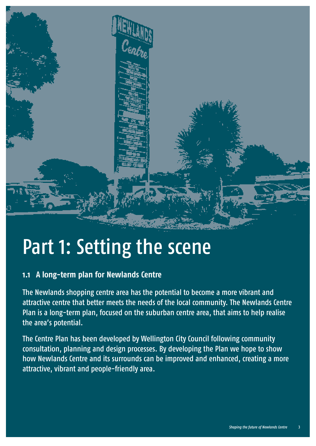

# Part 1: Setting the scene **1.1 A long-term plan for Newlands Centre**

The Newlands shopping centre area has the potential to become a more vibrant and attractive centre that better meets the needs of the local community. The Newlands Centre Plan is a long-term plan, focused on the suburban centre area, that aims to help realise the area's potential.

The Centre Plan has been developed by Wellington City Council following community consultation, planning and design processes. By developing the Plan we hope to show how Newlands Centre and its surrounds can be improved and enhanced, creating a more attractive, vibrant and people-friendly area.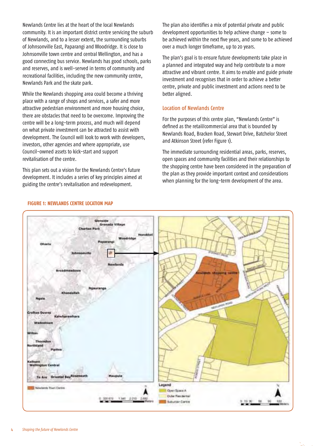Newlands Centre lies at the heart of the local Newlands community. It is an important district centre servicing the suburb of Newlands, and to a lesser extent, the surrounding suburbs of Johnsonville East, Paparangi and Woodridge. It is close to Johnsonville town centre and central Wellington, and has a good connecting bus service. Newlands has good schools, parks and reserves, and is well-served in terms of community and recreational facilities, including the new community centre, Newlands Park and the skate park.

While the Newlands shopping area could become a thriving place with a range of shops and services, a safer and more attractive pedestrian environment and more housing choice, there are obstacles that need to be overcome. Improving the centre will be a long-term process, and much will depend on what private investment can be attracted to assist with development. The Council will look to work with developers, investors, other agencies and where appropriate, use Council-owned assets to kick-start and support revitalisation of the centre.

This plan sets out a vision for the Newlands Centre's future development. It includes a series of key principles aimed at guiding the centre's revitalisation and redevelopment.

The plan also identifies a mix of potential private and public development opportunities to help achieve change – some to be achieved within the next five years, and some to be achieved over a much longer timeframe, up to 20 years.

The plan's goal is to ensure future developments take place in a planned and integrated way and help contribute to a more attractive and vibrant centre. It aims to enable and guide private investment and recognises that in order to achieve a better centre, private and public investment and actions need to be better aligned.

#### Location of Newlands Centre

F0r the purposes of this centre plan, "Newlands Centre" is defined as the retail/commercial area that is bounded by Newlands Road, Bracken Road, Stewart Drive, Batchelor Street and Atkinson Street (refer Figure 1).

The immediate surrounding residential areas, parks, reserves, open spaces and community facilities and their relationships to the shopping centre have been considered in the preparation of the plan as they provide important context and considerations when planning for the long-term development of the area.



#### **FIGURE 1: NEWLANDS CENTRE LOCATION MAP**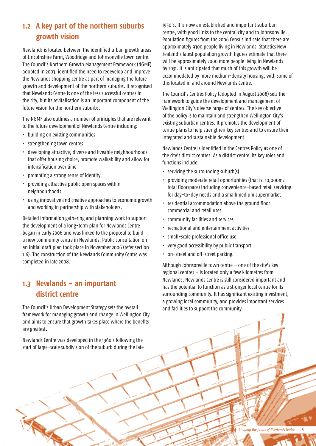### **1.2 A key part of the northern suburbs growth vision**

Newlands is located between the identified urban growth areas of Lincolnshire Farm, Woodridge and Johnsonville town centre. The Council's Northern Growth Management Framework (NGMF) adopted in 2003, identified the need to redevelop and improve the Newlands shopping centre as part of managing the future growth and development of the northern suburbs. It recognised that Newlands Centre is one of the less successful centres in the city, but its revitalisation is an important component of the future vision for the northern suburbs.

The NGMF also outlines a number of principles that are relevant to the future development of Newlands Centre including:

- building on existing communities
- strengthening town centres
- · developing attractive, diverse and liveable neighbourhoods that offer housing choice, promote walkability and allow for intensification over time
- promoting a strong sense of identity
- providing attractive public open spaces within neighbourhoods
- using innovative and creative approaches to economic growth and working in partnership with stakeholders.

Detailed information gathering and planning work to support the development of a long-term plan for Newlands Centre began in early 2006 and was linked to the proposal to build a new community centre in Newlands. Public consultation on an initial draft plan took place in November 2006 (refer section 1.6). The construction of the Newlands Community Centre was completed in late 2008.

#### **1.3 Newlands – an important district centre**

The Council's Urban Development Strategy sets the overall framework for managing growth and change in Wellington City and aims to ensure that growth takes place where the benefits are greatest.

Newlands Centre was developed in the 1960's following the start of large-scale subdivision of the suburb during the late 1950's. It is now an established and important suburban centre, with good links to the central city and to Johnsonville. Population figures from the 2006 Census indicate that there are approximately 9300 people living in Newlands. Statistics New Zealand's latest population growth figures estimate that there will be approximately 2000 more people living in Newlands by 2031. It is anticipated that much of this growth will be accommodated by more medium-density housing, with some of this located in and around Newlands Centre.

The Council's Centres Policy (adopted in August 2008) sets the framework to guide the development and management of Wellington City's diverse range of centres. The key objective of the policy is to maintain and strengthen Wellington City's existing suburban centres. It promotes the development of centre plans to help strengthen key centres and to ensure their integrated and sustainable development.

Newlands Centre is identified in the Centres Policy as one of the city's district centres. As a district centre, its key roles and functions include:

- $\cdot$  servicing the surrounding suburb(s)
- · providing moderate retail opportunities (that is, 10,000m2 total floorspace) including convenience-based retail servicing for day-to-day needs and a small/medium supermarket
- residential accommodation above the ground floor commercial and retail uses
- community facilities and services
- recreational and entertainment activities
- small-scale professional office use
- very good accessibility by public transport
- on-street and off-street parking.

Although Johnsonville town centre – one of the city's key regional centres – is located only a few kilometres from Newlands, Newlands Centre is still considered important and has the potential to function as a stronger local centre for its surrounding community. It has significant existing investment, a growing local community, and provides important services and facilities to support the community.

*Shaping the future of Newlands Centre* 5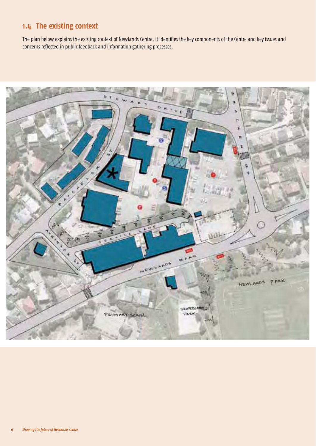# **1.4 The existing context**

The plan below explains the existing context of Newlands Centre. It identifies the key components of the Centre and key issues and concerns reflected in public feedback and information gathering processes.

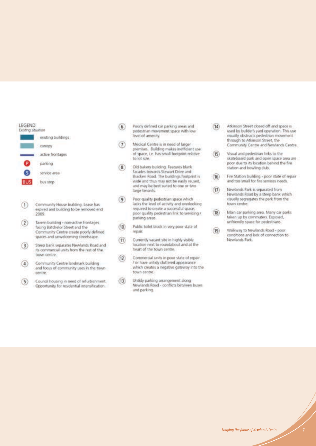

- $_{\textcircled{\scriptsize{1}}}$ Community House building. Lease has expired and building to be removed end 2009
- $(2)$ Tavern building - non-active frontages facing Batchelor Street and the Community Centre create poorly defined spaces and unwelcoming streetscape.
- $<sup>3</sup>$ </sup> Steep bank separates Newlands Road and its commercial units from the rest of the town centre.
- Community Centre landmark building  $\left(4\right)$ and focus of community uses in the town centre
- Council housing in need of refurbishment.  $\left(5\right)$ Opportunity for residential intensification.
- Poorly defined car parking areas and  $(6)$ pedestrian movement space with low level of amenity.
- Medical Centre is in need of larger  $\left( 7\right)$ premises. Building makes inefficient use of space, i.e. has small footprint relative to lot size.
- Old bakery building. Features blank  $(8)$ facades towards Stewart Drive and Bracken Road. The buildings footprint is wide and thus may not be easily reused, and may be best suited to one or two large tenants.
- Poor quality pedestrian space which  $(9)$ lacks the level of activity and overlooking required to create a successful space; poor quality pedestrian link to servicing / parking areas.
- Public toilet block in very poor state of  $(10)$ repair
- $(11)$ Currently vacant site in highly visible location next to roundabout and at the heart of the town centre.
- $(12)$ Commercial units in poor state of repair / or have untidy cluttered appearance which creates a negative gateway into the town centre.
- $(13)$ Untidy parking arrangement along Newlands Road - conflicts between buses and parking.
- $(14)$ Atkinson Street closed off and space is used by builder's yard operation. This use visually obstructs pedestrian movement through to Atkinson Street, the Community Centre and Newlands Centre.
- Visual and pedestrian links to the  $(15)$ skateboard park and open space area are poor due to its location behind the fire station and bowling club.
- $(16)$ Fire Station building - poor state of repair and too small for fire services needs.
- Newlands Park is separated from  $(17)$ Newlands Road by a steep bank which visually segregates the park from the town centre.
- Main car parking area. Many car parks  $(18)$ taken up by commuters. Exposed, unfriendly space for pedestrians.
- Walkway to Newlands Road poor  $(19)$ conditions and lack of connection to Newlands Park.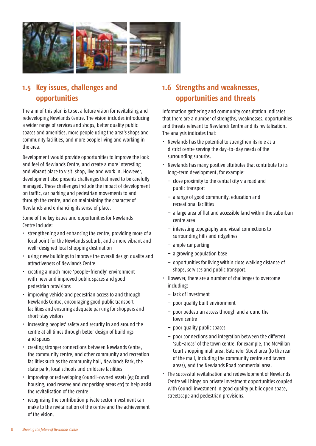

## **1.5 Key issues, challenges and opportunities**

The aim of this plan is to set a future vision for revitalising and redeveloping Newlands Centre. The vision includes introducing a wider range of services and shops, better quality public spaces and amenities, more people using the area's shops and community facilities, and more people living and working in the area.

Development would provide opportunities to improve the look and feel of Newlands Centre, and create a more interesting and vibrant place to visit, shop, live and work in. However, development also presents challenges that need to be carefully managed. These challenges include the impact of development on traffic, car parking and pedestrian movements to and through the centre, and on maintaining the character of Newlands and enhancing its sense of place.

Some of the key issues and opportunities for Newlands Centre include:

- strengthening and enhancing the centre, providing more of a focal point for the Newlands suburb, and a more vibrant and well-designed local shopping destination
- using new buildings to improve the overall design quality and attractiveness of Newlands Centre
- creating a much more 'people-friendly' environment with new and improved public spaces and good pedestrian provisions
- improving vehicle and pedestrian access to and through Newlands Centre, encouraging good public transport facilities and ensuring adequate parking for shoppers and short-stay visitors
- increasing peoples' safety and security in and around the centre at all times through better design of buildings and spaces
- creating stronger connections between Newlands Centre, the community centre, and other community and recreation facilities such as the community hall, Newlands Park, the skate park, local schools and childcare facilities
- improving or redeveloping Council-owned assets (eg Council housing, road reserve and car parking areas etc) to help assist the revitalisation of the centre
- recognising the contribution private sector investment can make to the revitalisation of the centre and the achievement of the vision.

# **1.6 Strengths and weaknesses, opportunities and threats**

Information gathering and community consultation indicates that there are a number of strengths, weaknesses, opportunities and threats relevant to Newlands Centre and its revitalisation. The analysis indicates that:

- $\cdot$  Newlands has the potential to strengthen its role as a district centre serving the day-to-day needs of the surrounding suburbs.
- Newlands has many positive attributes that contribute to its long-term development, for example:
	- close proximity to the central city via road and public transport
	- a range of good community, education and recreational facilities
	- a large area of flat and accessible land within the suburban centre area
	- interesting topography and visual connections to surrounding hills and ridgelines
	- ample car parking
	- a growing population base
	- opportunities for living within close walking distance of shops, services and public transport.
- However, there are a number of challenges to overcome including:
	- lack of investment
	- poor quality built environment
	- poor pedestrian access through and around the town centre
	- poor quality public spaces
	- poor connections and integration between the different 'sub-areas' of the town centre, for example, the McMillan Court shopping mall area, Batchelor Street area (to the rear of the mall, including the community centre and tavern areas), and the Newlands Road commercial area.
- The successful revitalisation and redevelopment of Newlands Centre will hinge on private investment opportunities coupled with Council investment in good quality public open space, streetscape and pedestrian provisions.